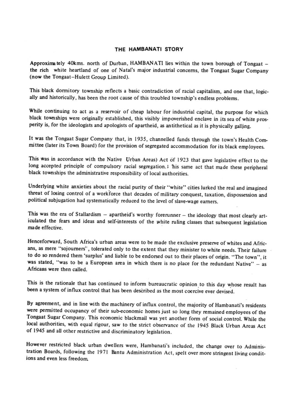## THE HAMBANATI STORY

Approximately 40kms. north of Durban, HAMBANATI lies within the town borough of Tongaat – the rich white heartland of one of Natal's major industrial concerns, the Tongaat Sugar Company (now the Tongaat-Hulett Group Limited).

This black dormitory township reflects a basic contradiction of racial capitalism, and one that, logically and historically, has been the root cause of this troubled township's endless problems.

While continuing to act as a reservoir of cheap labour for industrial capital, the purpose for which black townships were originally established, this visibly impoverished enclave in its sea of white prosperity is, for the ideologists and apologists of apartheid, as antithetical as it is physically galling.

It was the Tongaat Sugar Company that, in 1935, channelled funds through the town's Health Committee (later its Town Board) for the provision of segregated accommodation for its black employees.

This was in accordance with the Native Urban Areas) Act of 1923 that gave legislative effect to the long accepted principle of compulsory racial segregation. I his same act that made these peripheral black townships the administrative responsibility of local authorities.

Underlying white anxieties about the racial purity of their "white" cities lurked the real and imagined threat of losing control of a workforce that decades of military conquest, taxation, dispossession and political subjugation had systematically reduced to the level of slave-wage earners.

This was the era of Stallardism - apartheid's worthy forerunner - the ideology that most clearly articulated the fears and ideas and self-interests of the white ruling classes that subsequent legislation made effective.

Henceforward, South Africa's urban areas were to be made the exclusive preserve of whites and Africans, as mere "sojourners", tolerated only to the extent that they minister to white needs. Their failure to do so rendered them 'surplus' and liable to be endorsed out to their places of origin. "The town", it was stated, "was to be a European area in which there is no place for the redundant Native" - as Africans were then called.

This is the rationale that has continued to inform bureaucratic opinion to this day whose result has been a system of influx control that has been described as the most coercive ever devised.

By agreement, and in line with the machinery of influx control, the majority of Hambanati's residents were permitted occupancy of their sub-economic homes just so long they remained employees of the Tongaat Sugar Company. This economic blackmail was yet another form of social control. While the local authorities, with equal rigour, saw to the strict observance of the 1945 Black Urban Areas Act of 1945 and all other restrictive and discriminatory legislation.

However restricted black urban dwellers were, Hambanati's included, the change over to Administration Boards, following the 1971 Bantu Administration Act, spelt over more stringent living conditions and even less freedom.

 $\sim$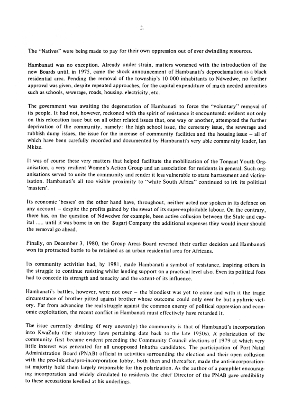The "Natives" were being made to pay for their own oppression out of ever dwindling resources.

Hambanati was no exception. Already under strain, matters worsened with the introduction of the new Boards until, in 1975, came the shock announcement of Hambanati's deproclamation as a black residential area. Pending the removal of the township's 10 000 inhabitants to Ndwedwe, no further approval was given, despite repeated approaches, for the capital expenditure of much needed amenities such as schools, sewerage, roads, housing, electricity, etc.

The government was awaiting the degeneration of Hambanati to force the "voluntary" removal of its people. It had not, however, reckoned with the spirit of resistance it encountered: evident not only on this relocation issue but on all other related issues that, one way or another, attempted the further deprivation of the community, namely: the high school issue, the cemetery issue, the sewerage and rubbish dump issues, the issue for the increase of community facilities and the housing issue – all of which have been carefully recorded and documented by Hambanati's very able community leader, Ian Mkize.

It was of course these very matters that helped facilitate the mobilization of the Tongaat Youth Organisation, a very resilient Women's Action Group and an association for residents in general. Such organisations served to unite the community and render it less vulnerable to state harrassment and victimisation. Hambanati's all too visible proximity to "white South Africa" continued to irk its political 'masters'.

Its economic 'bosses' on the other hand have, throughout, neither acted nor spoken in its defence on any account - despite the profits gained by the sweat of its super-exploitable labour. On the contrary, there has, on the question of Ndwedwe for example, been active collusion between the State and capital ..... until it was borne in on the Sugar) Company the additional expenses they would incur should the removal go ahead.

Finally, on December 3, 1980, the Group Areas Board reversed their earlier decision and Hambanati won its protracted battle to be retained as an urban residential area for Africans.

Its community activities had, by 1981, made Hambanati a symbol of resistance, inspiring others in the struggle to continue resisting whilst lending support on a practical level also. Even its political foes had to concede its strength and tenacity and the extent-of its influence.

Hambanati's battles, however, were not over - the bloodiest was yet to come and with it the tragic circumstance of brother pitted against brother whose outcome could only ever be but a pyhrric victory. Far from advancing the real struggle against the common enemy of political oppression and economic exploitation, the recent conflict in Hambanati must effectively have retarded it.

The issue currently dividing (if very unevenly) the community is that of Hambanati's incorporation into KwaZulu (the statutory laws pertaining date back to the late 1950s). A polarization of the community first became evident preceding the Community Council elections of 1979 at which very little interest was generated for all unopposed Inkatha candidates. The participation of Port Natal Administration Board (PNAB) official in activities surrounding the election and their open collusion with the pro-Inkatha/pro-incorporation lobby, both then and thereafter, made the anti-incorporationist majority hold them largely responsible for this polarization. As the author of a pamphlet encouraging incorporation and widely circulated to residents the chief Director of the PNAB gave credibility to these accusations levelled at his underlings.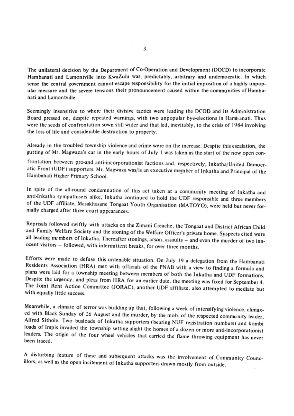The unilateral decision by the Department of Co-Operation and Development (DOCD) to incorporate Hambanati and Lamontville into KwaZulu was, predictably, arbitrary and undemocratic. In which sense the central government cannot escape responsibility for the initial imposition of a highly unpopular measure and the severe tensions their pronouncement caused within the communities of Hambanati and Lamontville.

Seemingly insensitive to where their divisive tactics were leading the DCOD and its Administration Board pressed on, despite repeated warnings, with two unpopular bye-elections in Hambanati. Thus were the seeds of confrontation sown still wider and that led, inevitably, to the crisis of 1984 involving the loss of life and considerable destruction to property.

Already in the troubled township violence and crime were on the increase. Despite this escalation, the gutting of Mr. Magwaza's car in the early hours of July 1 was taken as the start of the now open con-

frontation between pro-and anti-incorporationist factions and, respectively, Inkatha/United Democratic Front (UDF) supporters. Mr. Magwaza was/is an executive member of Inkatha and Principal of the Hambanati Higher Primary School.

In spite of the all-round condemnation of this act taken at a community meeting of Inkatha and anti-Inkatha sympathisers alike, Inkatha continued to hold the UDF responsible and three members of the UDF affiliate, Masakhasane Tongaat Youth Organisation (MATOYO), were held but never formally charged after three court appearances.

Reprisals followed swiftly with attacks on the Zimani Creache, the Tongaat and District African Child and Family Welfare Society and the stoning of the Welfare Officer's private home. Suspects cited were all leading members of Inkatha. Thereafter stonings, arson, assaults - and even the murder of two innocent visitors - followed, with intermittent breaks, for over three months.

Efforts were made to defuse this untenable situation. On July 19 a delegation from the Hambanati Residents Association (HRA) met with officials of the PNAB with a view to finding a formula and plans were laid for a township meeting between members of both the Inkatha and UDF formations. Despite the urgency, and pleas from HRA for an earlier date, the meeting was fixed for September 4. The Joint Rent Action Committee (JORAC), another UDF affiliate, also attempted to mediate but with equally little success.

Meanwhile, a climate of terror was building up that, following a week of intensifying violence, climaxed with Black Sunday of 26 August and the murder, by the mob, of the respected community leader, Alfred Sithole. Two busloads of Inkatha supporters (bearing NUF registration numbers) and kombi loads of Impis invaded the township setting alight the homes of a dozen or more anti-incorporationist leaders. The origin of the four wheel vehicles that carried the flame throwing equipment has never been traced.

A disturbing feature of these and subsequent attacks was the involvement of Community Councillors, as well as the open incitement of Inkatha supporters drawn mostly from outside.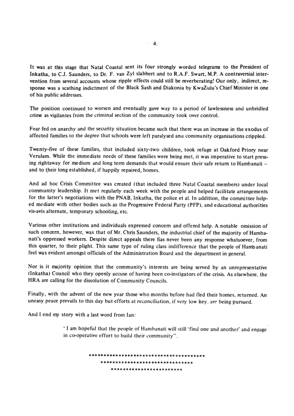It was at this stage that Natal Coastal sent its four strongly worded telegrams to the President of Inkatha, to C.J. Saunders, to Dr. F. van Zyl slabbert and to R.A.F. Swart, M.P. A contraversial intervention from several accounts whose ripple effects could still be reverberating! Our only, indirect, response was a scathing indictment of the Black Sash and Diakonia by KwaZulu's Chief Minister in one of his public addresses.

The position continued to worsen and eventually gave way to a period of lawlessness and unbridled crime as vigilantes from the criminal section of the community took over control.

Fear fed on anarchy and the security situation became such that there was an increase in the exodus of affected families to the degree that schools were left paralysed and community organisations crippled.

Twenty-five of these families, that included sixty-two children, took refuge at Oakford Priory near Verulam. While the immediate needs of these families were being met, it was imperative to start pressing rightaway for medium and long term demands that would ensure their safe return to Hambanati and to their long established, if happily repaired, homes.

And ad hoc Crisis Committee was created (that included three Natal Coastal members) under local community leadership. It met regularly each week with the people and helped facilitate arrangements for the latter's negotiations with the PNAB, Inkatha, the police et al. In addition, the committee helped mediate with other bodies such as the Progressive Federal Party (PFP), and educational authorities vis-avis alternate, temporary schooling, etc.

Various other institutions and individuals expressed concern and offered help. A notable omission of such concern, however, was that of Mr. Chris Saunders, the industrial chief of the majority of Hambanati's oppressed workers. Despite direct appeals there has never been any response whatsoever, from this quarter, to their plight. This same type of ruling class indifference that the people of Hambanati feel was evident amongst officials of the Administration Board and the department in general.

Nor is it majority opinion that the community's interests are being served by an unrepresentative (Inkatha) Council who they openly accuse of having been co-instigators of the crisis. As elsewhere, the HRA are calling for the dissolution of Community Councils.

Finally, with the advent of the new year those who months before had fled their homes, returned. An uneasy peace prevails to this day but efforts at reconciliation, if very low key, are being pursued.

And I end my story with a last word from Ian:

'I am hopeful that the people of Hambanati will still 'find one and another' and engage

in co-operative effort to build their community".

## 

## \*\*\*\*\*\*\*\*\*\*\*\*\*\*\*\*\*\*\*\*\*\*\*\*\*\*\*\*\*\*\*

\*\*\*\*\*\*\*\*\*\*\*\*\*\*\*\*\*\*\*\*\*\*\*\*